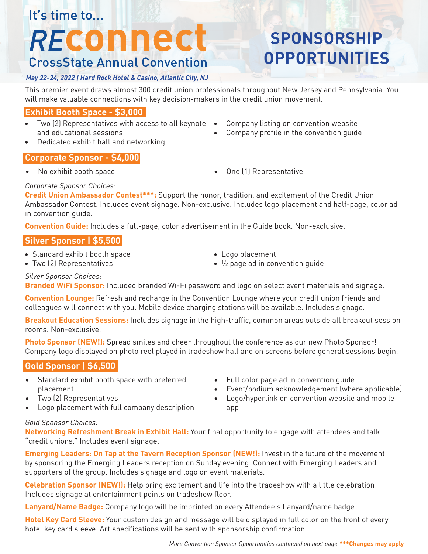# It's time to...

# REConnect **CrossState Annual Convention**

# *May 22-24, 2022 | Hard Rock Hotel & Casino, Atlantic City, NJ*

#### This premier event draws almost 300 credit union professionals throughout New Jersey and Pennsylvania. You will make valuable connections with key decision-makers in the credit union movement.

#### **Exhibit Booth Space - \$3,000**

- Two (2) Representatives with access to all keynote and educational sessions
- Dedicated exhibit hall and networking

# Company listing on convention website

• Company profile in the convention guide

**SPONSORSHIP** 

**OPPORTUNITIES**

#### **Corporate Sponsor - \$4,000**

- 
- No exhibit booth space One (1) Representative

#### *Corporate Sponsor Choices:*

**Credit Union Ambassador Contest\*\*\*:** Support the honor, tradition, and excitement of the Credit Union Ambassador Contest. Includes event signage. Non-exclusive. Includes logo placement and half-page, color ad in convention guide.

**Convention Guide:** Includes a full-page, color advertisement in the Guide book. Non-exclusive.

#### **Silver Sponsor | \$5,500**

- Standard exhibit booth space
- Two (2) Representatives
- Logo placement
- ½ page ad in convention guide

*Silver Sponsor Choices:*

**Branded WiFi Sponsor:** Included branded Wi-Fi password and logo on select event materials and signage.

**Convention Lounge:** Refresh and recharge in the Convention Lounge where your credit union friends and colleagues will connect with you. Mobile device charging stations will be available. Includes signage.

**Breakout Education Sessions:** Includes signage in the high-traffic, common areas outside all breakout session rooms. Non-exclusive.

**Photo Sponsor (NEW!):** Spread smiles and cheer throughout the conference as our new Photo Sponsor! Company logo displayed on photo reel played in tradeshow hall and on screens before general sessions begin.

## **Gold Sponsor | \$6,500**

- Standard exhibit booth space with preferred placement
- Two (2) Representatives
- Logo placement with full company description
- Full color page ad in convention guide
- Event/podium acknowledgement (where applicable)
- Logo/hyperlink on convention website and mobile app

#### *Gold Sponsor Choices:*

**Networking Refreshment Break in Exhibit Hall:** Your final opportunity to engage with attendees and talk "credit unions." Includes event signage.

**Emerging Leaders: On Tap at the Tavern Reception Sponsor (NEW!):** Invest in the future of the movement by sponsoring the Emerging Leaders reception on Sunday evening. Connect with Emerging Leaders and supporters of the group. Includes signage and logo on event materials.

**Celebration Sponsor (NEW!):** Help bring excitement and life into the tradeshow with a little celebration! Includes signage at entertainment points on tradeshow floor.

**Lanyard/Name Badge:** Company logo will be imprinted on every Attendee's Lanyard/name badge.

**Hotel Key Card Sleeve:** Your custom design and message will be displayed in full color on the front of every hotel key card sleeve. Art specifications will be sent with sponsorship confirmation.